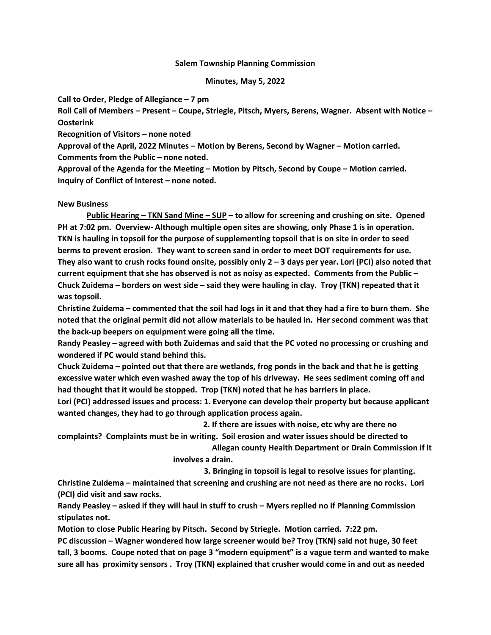### Salem Township Planning Commission

### Minutes, May 5, 2022

Call to Order, Pledge of Allegiance – 7 pm

Roll Call of Members – Present – Coupe, Striegle, Pitsch, Myers, Berens, Wagner. Absent with Notice – **Oosterink** 

Recognition of Visitors – none noted

Approval of the April, 2022 Minutes – Motion by Berens, Second by Wagner – Motion carried. Comments from the Public – none noted.

Approval of the Agenda for the Meeting – Motion by Pitsch, Second by Coupe – Motion carried. Inquiry of Conflict of Interest – none noted.

# New Business

Public Hearing – TKN Sand Mine – SUP – to allow for screening and crushing on site. Opened PH at 7:02 pm. Overview- Although multiple open sites are showing, only Phase 1 is in operation. TKN is hauling in topsoil for the purpose of supplementing topsoil that is on site in order to seed berms to prevent erosion. They want to screen sand in order to meet DOT requirements for use. They also want to crush rocks found onsite, possibly only  $2 - 3$  days per year. Lori (PCI) also noted that current equipment that she has observed is not as noisy as expected. Comments from the Public – Chuck Zuidema – borders on west side – said they were hauling in clay. Troy (TKN) repeated that it was topsoil.

Christine Zuidema – commented that the soil had logs in it and that they had a fire to burn them. She noted that the original permit did not allow materials to be hauled in. Her second comment was that the back-up beepers on equipment were going all the time.

Randy Peasley – agreed with both Zuidemas and said that the PC voted no processing or crushing and wondered if PC would stand behind this.

Chuck Zuidema – pointed out that there are wetlands, frog ponds in the back and that he is getting excessive water which even washed away the top of his driveway. He sees sediment coming off and had thought that it would be stopped. Trop (TKN) noted that he has barriers in place.

Lori (PCI) addressed issues and process: 1. Everyone can develop their property but because applicant wanted changes, they had to go through application process again.

2. If there are issues with noise, etc why are there no

complaints? Complaints must be in writing. Soil erosion and water issues should be directed to Allegan county Health Department or Drain Commission if it

involves a drain.

3. Bringing in topsoil is legal to resolve issues for planting.

Christine Zuidema – maintained that screening and crushing are not need as there are no rocks. Lori (PCI) did visit and saw rocks.

Randy Peasley – asked if they will haul in stuff to crush – Myers replied no if Planning Commission stipulates not.

Motion to close Public Hearing by Pitsch. Second by Striegle. Motion carried. 7:22 pm.

PC discussion – Wagner wondered how large screener would be? Troy (TKN) said not huge, 30 feet tall, 3 booms. Coupe noted that on page 3 "modern equipment" is a vague term and wanted to make sure all has proximity sensors . Troy (TKN) explained that crusher would come in and out as needed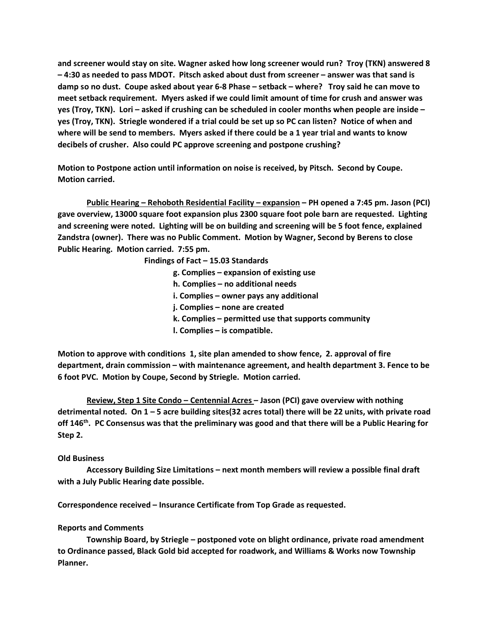and screener would stay on site. Wagner asked how long screener would run? Troy (TKN) answered 8 – 4:30 as needed to pass MDOT. Pitsch asked about dust from screener – answer was that sand is damp so no dust. Coupe asked about year 6-8 Phase – setback – where? Troy said he can move to meet setback requirement. Myers asked if we could limit amount of time for crush and answer was yes (Troy, TKN). Lori – asked if crushing can be scheduled in cooler months when people are inside – yes (Troy, TKN). Striegle wondered if a trial could be set up so PC can listen? Notice of when and where will be send to members. Myers asked if there could be a 1 year trial and wants to know decibels of crusher. Also could PC approve screening and postpone crushing?

Motion to Postpone action until information on noise is received, by Pitsch. Second by Coupe. Motion carried.

 Public Hearing – Rehoboth Residential Facility – expansion – PH opened a 7:45 pm. Jason (PCI) gave overview, 13000 square foot expansion plus 2300 square foot pole barn are requested. Lighting and screening were noted. Lighting will be on building and screening will be 5 foot fence, explained Zandstra (owner). There was no Public Comment. Motion by Wagner, Second by Berens to close Public Hearing. Motion carried. 7:55 pm.

Findings of Fact – 15.03 Standards

- g. Complies expansion of existing use
- h. Complies no additional needs
- i. Complies owner pays any additional
- j. Complies none are created
- k. Complies permitted use that supports community
- l. Complies is compatible.

Motion to approve with conditions 1, site plan amended to show fence, 2. approval of fire department, drain commission – with maintenance agreement, and health department 3. Fence to be 6 foot PVC. Motion by Coupe, Second by Striegle. Motion carried.

 Review, Step 1 Site Condo – Centennial Acres – Jason (PCI) gave overview with nothing detrimental noted. On 1 – 5 acre building sites(32 acres total) there will be 22 units, with private road off 146<sup>th</sup>. PC Consensus was that the preliminary was good and that there will be a Public Hearing for Step 2.

# Old Business

 Accessory Building Size Limitations – next month members will review a possible final draft with a July Public Hearing date possible.

Correspondence received – Insurance Certificate from Top Grade as requested.

# Reports and Comments

 Township Board, by Striegle – postponed vote on blight ordinance, private road amendment to Ordinance passed, Black Gold bid accepted for roadwork, and Williams & Works now Township Planner.